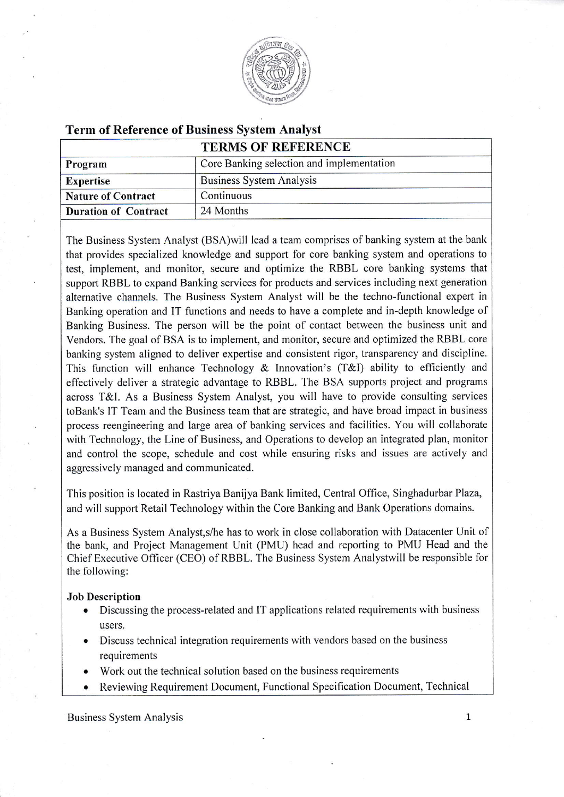

## Term of Reference of Business System Analyst

| <b>TERMS OF REFERENCE</b>                 |
|-------------------------------------------|
| Core Banking selection and implementation |
| Business System Analysis                  |
| Continuous                                |
| 24 Months                                 |
|                                           |

The Business System Analyst (BSA) will lead a team comprises of banking system at the bank that provides specialized knowledge and support for core banking system and operations to test, implement, and monitor, secure and optimize the RBBL core banking systems that support RBBL to expand Banking services for products and services including next generation alternative channels. The Business System Analyst will be the techno-functional expert in Banking operation and IT functions and needs to have a complete and in-depth knowledge of Banking Business. The person will be the point of contact between the business unit and Vendors. The goal of BSA is to implement, and monitor, secure and optimized the RBBL core banking system aligned to deliver expertise and consistent rigor, transparency and discipline. This function will enhance Technology & Innovation's (T&l) ability to efficiently and effectively deliver a strategic advantage to RBBL. The BSA supports project and programs across T&1. As a Business System Analyst, you will have to provide consulting services toBank's lT Team and the Business team that are strategic, and have broad impact in business process reengineering and large area of banking services and facilities. You will collaborate with Technology, the Line of Business, and Operations to develop an integrated plan, monitor and control the scope, schedule and cost while ensuring risks and issues are actively and aggressively managed and communicated.

This position is located in Rastriya Banijya Bank limited, Central Office, Singhadurbar Plaza, and will support Retail Technology within the Core Banking and Bank Operations domains.

As a Business System Analyst,s/he has to work in close collaboration with Datacenter Unit of the bank, and Project Management Unit (PMU) head and reporting to PMU Head and the Chief Executive Officer (CEO) of RBBL. The Business System Analystwill be responsible for the following:

## Job Description

- Discussing the process-related and IT applications related requirements with business users.
- Discuss technical integration requirements with vendors based on the business requirements
- Work out the technical solution based on the business requirements
- Reviewing Requirement Document, Functional Specification Document, Technical

Business System Analysis